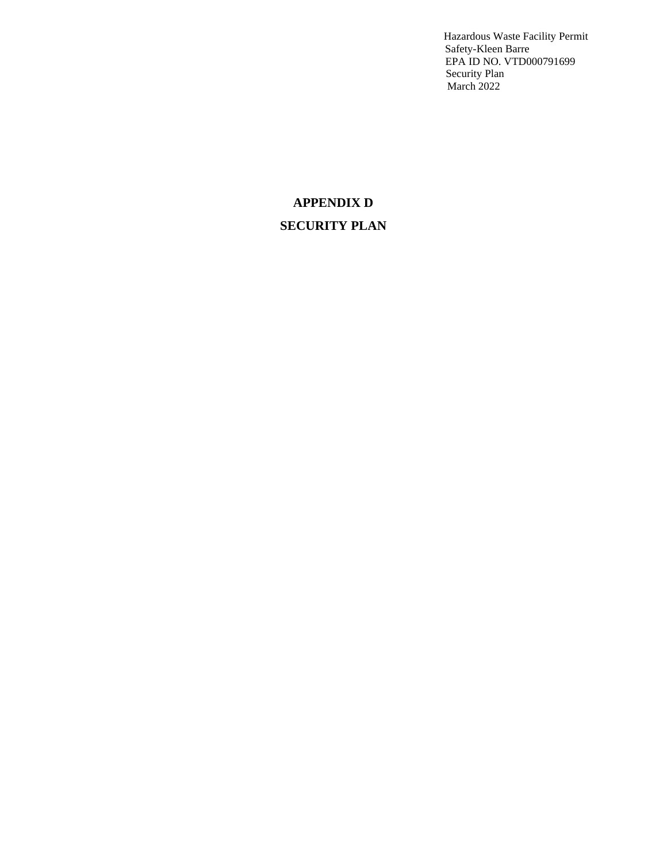Hazardous Waste Facility Permit Safety-Kleen Barre EPA ID NO. VTD000791699 Security Plan March 2022

## **APPENDIX D SECURITY PLAN**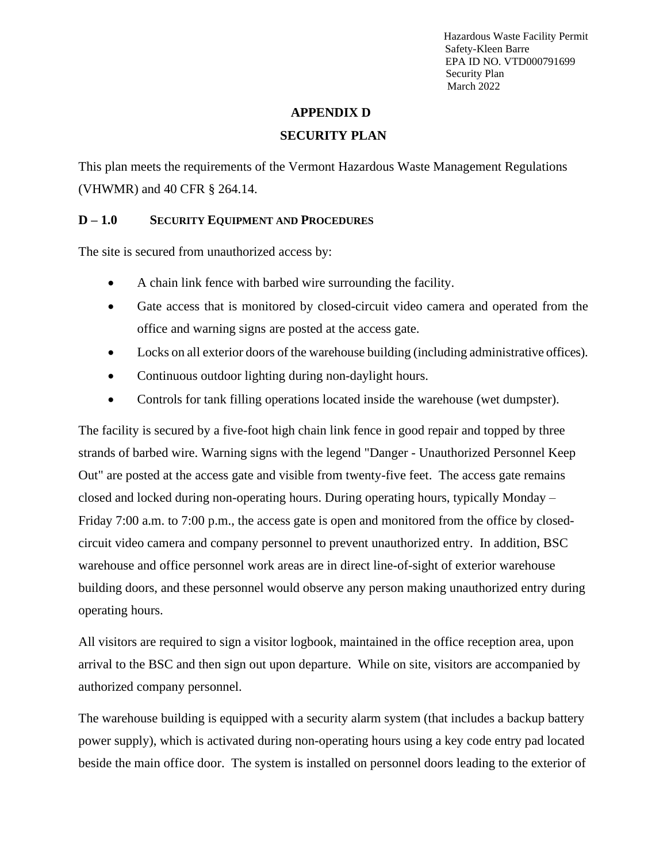Hazardous Waste Facility Permit Safety-Kleen Barre EPA ID NO. VTD000791699 Security Plan March 2022

## **APPENDIX D SECURITY PLAN**

This plan meets the requirements of the Vermont Hazardous Waste Management Regulations (VHWMR) and 40 CFR § 264.14.

## **D – 1.0 SECURITY EQUIPMENT AND PROCEDURES**

The site is secured from unauthorized access by:

- A chain link fence with barbed wire surrounding the facility.
- Gate access that is monitored by closed-circuit video camera and operated from the office and warning signs are posted at the access gate.
- Locks on all exterior doors of the warehouse building (including administrative offices).
- Continuous outdoor lighting during non-daylight hours.
- Controls for tank filling operations located inside the warehouse (wet dumpster).

The facility is secured by a five-foot high chain link fence in good repair and topped by three strands of barbed wire. Warning signs with the legend "Danger - Unauthorized Personnel Keep Out" are posted at the access gate and visible from twenty-five feet. The access gate remains closed and locked during non-operating hours. During operating hours, typically Monday – Friday 7:00 a.m. to 7:00 p.m., the access gate is open and monitored from the office by closedcircuit video camera and company personnel to prevent unauthorized entry. In addition, BSC warehouse and office personnel work areas are in direct line-of-sight of exterior warehouse building doors, and these personnel would observe any person making unauthorized entry during operating hours.

All visitors are required to sign a visitor logbook, maintained in the office reception area, upon arrival to the BSC and then sign out upon departure. While on site, visitors are accompanied by authorized company personnel.

The warehouse building is equipped with a security alarm system (that includes a backup battery power supply), which is activated during non-operating hours using a key code entry pad located beside the main office door. The system is installed on personnel doors leading to the exterior of